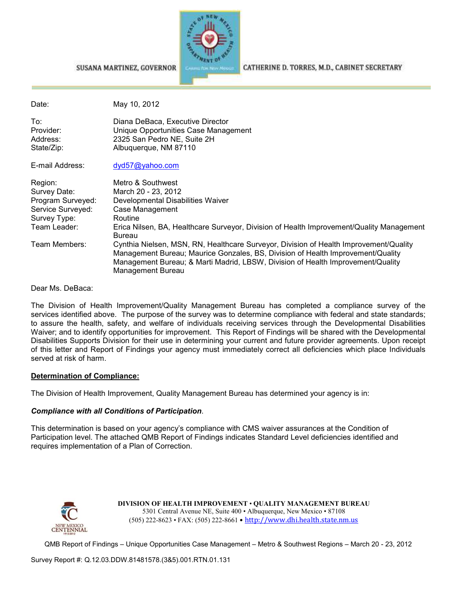

SUSANA MARTINEZ, GOVERNOR

CATHERINE D. TORRES, M.D., CABINET SECRETARY

| Date:                                                                                                              | May 10, 2012                                                                                                                                                                                                                                                                                                                                                                                         |
|--------------------------------------------------------------------------------------------------------------------|------------------------------------------------------------------------------------------------------------------------------------------------------------------------------------------------------------------------------------------------------------------------------------------------------------------------------------------------------------------------------------------------------|
| To:<br>Provider:<br>Address:<br>State/Zip:                                                                         | Diana DeBaca, Executive Director<br>Unique Opportunities Case Management<br>2325 San Pedro NE, Suite 2H<br>Albuquerque, NM 87110                                                                                                                                                                                                                                                                     |
| E-mail Address:                                                                                                    | dyd57@yahoo.com                                                                                                                                                                                                                                                                                                                                                                                      |
| Region:<br>Survey Date:<br>Program Surveyed:<br>Service Surveyed:<br>Survey Type:<br>Team Leader:<br>Team Members: | Metro & Southwest<br>March 20 - 23, 2012<br>Developmental Disabilities Waiver<br>Case Management<br>Routine<br>Erica Nilsen, BA, Healthcare Surveyor, Division of Health Improvement/Quality Management<br><b>Bureau</b><br>Cynthia Nielsen, MSN, RN, Healthcare Surveyor, Division of Health Improvement/Quality<br>Management Bureau; Maurice Gonzales, BS, Division of Health Improvement/Quality |
|                                                                                                                    | Management Bureau; & Marti Madrid, LBSW, Division of Health Improvement/Quality<br>Management Bureau                                                                                                                                                                                                                                                                                                 |

Dear Ms. DeBaca:

The Division of Health Improvement/Quality Management Bureau has completed a compliance survey of the services identified above. The purpose of the survey was to determine compliance with federal and state standards; to assure the health, safety, and welfare of individuals receiving services through the Developmental Disabilities Waiver; and to identify opportunities for improvement. This Report of Findings will be shared with the Developmental Disabilities Supports Division for their use in determining your current and future provider agreements. Upon receipt of this letter and Report of Findings your agency must immediately correct all deficiencies which place Individuals served at risk of harm.

#### **Determination of Compliance:**

The Division of Health Improvement, Quality Management Bureau has determined your agency is in:

#### *Compliance with all Conditions of Participation*.

This determination is based on your agency's compliance with CMS waiver assurances at the Condition of Participation level. The attached QMB Report of Findings indicates Standard Level deficiencies identified and requires implementation of a Plan of Correction.



**DIVISION OF HEALTH IMPROVEMENT** • **QUALITY MANAGEMENT BUREAU** 5301 Central Avenue NE, Suite 400 • Albuquerque, New Mexico • 87108 (505) 222-8623 • FAX: (505) 222-8661 • http://www.dhi.health.state.nm.us

QMB Report of Findings – Unique Opportunities Case Management – Metro & Southwest Regions – March 20 - 23, 2012

Survey Report #: Q.12.03.DDW.81481578.(3&5).001.RTN.01.131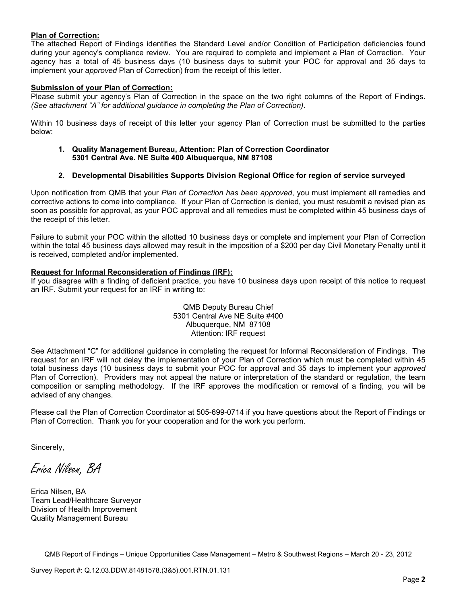#### **Plan of Correction:**

The attached Report of Findings identifies the Standard Level and/or Condition of Participation deficiencies found during your agency's compliance review. You are required to complete and implement a Plan of Correction. Your agency has a total of 45 business days (10 business days to submit your POC for approval and 35 days to implement your *approved* Plan of Correction) from the receipt of this letter.

#### **Submission of your Plan of Correction:**

Please submit your agency's Plan of Correction in the space on the two right columns of the Report of Findings. *(See attachment "A" for additional guidance in completing the Plan of Correction)*.

Within 10 business days of receipt of this letter your agency Plan of Correction must be submitted to the parties below:

**1. Quality Management Bureau, Attention: Plan of Correction Coordinator 5301 Central Ave. NE Suite 400 Albuquerque, NM 87108** 

#### **2. Developmental Disabilities Supports Division Regional Office for region of service surveyed**

Upon notification from QMB that your *Plan of Correction has been approved*, you must implement all remedies and corrective actions to come into compliance. If your Plan of Correction is denied, you must resubmit a revised plan as soon as possible for approval, as your POC approval and all remedies must be completed within 45 business days of the receipt of this letter.

Failure to submit your POC within the allotted 10 business days or complete and implement your Plan of Correction within the total 45 business days allowed may result in the imposition of a \$200 per day Civil Monetary Penalty until it is received, completed and/or implemented.

#### **Request for Informal Reconsideration of Findings (IRF):**

If you disagree with a finding of deficient practice, you have 10 business days upon receipt of this notice to request an IRF. Submit your request for an IRF in writing to:

> QMB Deputy Bureau Chief 5301 Central Ave NE Suite #400 Albuquerque, NM 87108 Attention: IRF request

See Attachment "C" for additional guidance in completing the request for Informal Reconsideration of Findings. The request for an IRF will not delay the implementation of your Plan of Correction which must be completed within 45 total business days (10 business days to submit your POC for approval and 35 days to implement your *approved* Plan of Correction). Providers may not appeal the nature or interpretation of the standard or regulation, the team composition or sampling methodology. If the IRF approves the modification or removal of a finding, you will be advised of any changes.

Please call the Plan of Correction Coordinator at 505-699-0714 if you have questions about the Report of Findings or Plan of Correction. Thank you for your cooperation and for the work you perform.

Sincerely,

Erica Nilsen, BA

Erica Nilsen, BA Team Lead/Healthcare Surveyor Division of Health Improvement Quality Management Bureau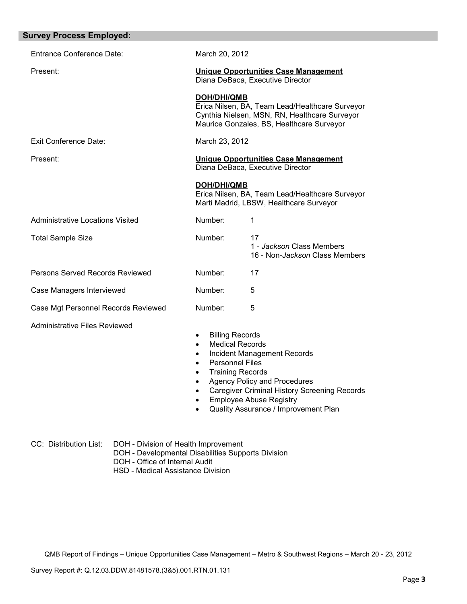| <b>Entrance Conference Date:</b><br>March 20, 2012<br>Present:<br><b>Unique Opportunities Case Management</b><br>Diana DeBaca, Executive Director<br><b>DOH/DHI/QMB</b><br>Erica Nilsen, BA, Team Lead/Healthcare Surveyor<br>Cynthia Nielsen, MSN, RN, Healthcare Surveyor<br>Maurice Gonzales, BS, Healthcare Surveyor<br><b>Exit Conference Date:</b><br>March 23, 2012<br>Present:<br><b>Unique Opportunities Case Management</b><br>Diana DeBaca, Executive Director<br>DOH/DHI/QMB<br>Erica Nilsen, BA, Team Lead/Healthcare Surveyor<br>Marti Madrid, LBSW, Healthcare Surveyor<br><b>Administrative Locations Visited</b><br>Number:<br>1<br>Number:<br>17<br><b>Total Sample Size</b><br>1 - Jackson Class Members<br>16 - Non-Jackson Class Members<br>Persons Served Records Reviewed<br>Number:<br>17<br>Number:<br>Case Managers Interviewed<br>5<br>Number:<br>Case Mgt Personnel Records Reviewed<br>5<br><b>Administrative Files Reviewed</b><br><b>Billing Records</b><br>$\bullet$<br><b>Medical Records</b><br>$\bullet$<br><b>Incident Management Records</b><br>٠<br><b>Personnel Files</b><br><b>Training Records</b><br><b>Agency Policy and Procedures</b><br><b>Caregiver Criminal History Screening Records</b><br><b>Employee Abuse Registry</b><br>Quality Assurance / Improvement Plan | <b>Survey Process Employed:</b> |  |  |
|---------------------------------------------------------------------------------------------------------------------------------------------------------------------------------------------------------------------------------------------------------------------------------------------------------------------------------------------------------------------------------------------------------------------------------------------------------------------------------------------------------------------------------------------------------------------------------------------------------------------------------------------------------------------------------------------------------------------------------------------------------------------------------------------------------------------------------------------------------------------------------------------------------------------------------------------------------------------------------------------------------------------------------------------------------------------------------------------------------------------------------------------------------------------------------------------------------------------------------------------------------------------------------------------------------------------|---------------------------------|--|--|
|                                                                                                                                                                                                                                                                                                                                                                                                                                                                                                                                                                                                                                                                                                                                                                                                                                                                                                                                                                                                                                                                                                                                                                                                                                                                                                                     |                                 |  |  |
|                                                                                                                                                                                                                                                                                                                                                                                                                                                                                                                                                                                                                                                                                                                                                                                                                                                                                                                                                                                                                                                                                                                                                                                                                                                                                                                     |                                 |  |  |
|                                                                                                                                                                                                                                                                                                                                                                                                                                                                                                                                                                                                                                                                                                                                                                                                                                                                                                                                                                                                                                                                                                                                                                                                                                                                                                                     |                                 |  |  |
|                                                                                                                                                                                                                                                                                                                                                                                                                                                                                                                                                                                                                                                                                                                                                                                                                                                                                                                                                                                                                                                                                                                                                                                                                                                                                                                     |                                 |  |  |
|                                                                                                                                                                                                                                                                                                                                                                                                                                                                                                                                                                                                                                                                                                                                                                                                                                                                                                                                                                                                                                                                                                                                                                                                                                                                                                                     |                                 |  |  |
|                                                                                                                                                                                                                                                                                                                                                                                                                                                                                                                                                                                                                                                                                                                                                                                                                                                                                                                                                                                                                                                                                                                                                                                                                                                                                                                     |                                 |  |  |
|                                                                                                                                                                                                                                                                                                                                                                                                                                                                                                                                                                                                                                                                                                                                                                                                                                                                                                                                                                                                                                                                                                                                                                                                                                                                                                                     |                                 |  |  |
|                                                                                                                                                                                                                                                                                                                                                                                                                                                                                                                                                                                                                                                                                                                                                                                                                                                                                                                                                                                                                                                                                                                                                                                                                                                                                                                     |                                 |  |  |
|                                                                                                                                                                                                                                                                                                                                                                                                                                                                                                                                                                                                                                                                                                                                                                                                                                                                                                                                                                                                                                                                                                                                                                                                                                                                                                                     |                                 |  |  |
|                                                                                                                                                                                                                                                                                                                                                                                                                                                                                                                                                                                                                                                                                                                                                                                                                                                                                                                                                                                                                                                                                                                                                                                                                                                                                                                     |                                 |  |  |
|                                                                                                                                                                                                                                                                                                                                                                                                                                                                                                                                                                                                                                                                                                                                                                                                                                                                                                                                                                                                                                                                                                                                                                                                                                                                                                                     |                                 |  |  |
|                                                                                                                                                                                                                                                                                                                                                                                                                                                                                                                                                                                                                                                                                                                                                                                                                                                                                                                                                                                                                                                                                                                                                                                                                                                                                                                     |                                 |  |  |

CC: Distribution List: DOH - Division of Health Improvement

- DOH Developmental Disabilities Supports Division
- DOH Office of Internal Audit
- HSD Medical Assistance Division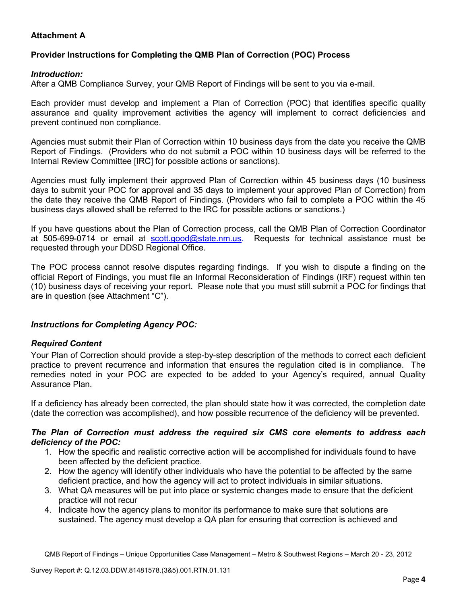# **Attachment A**

# **Provider Instructions for Completing the QMB Plan of Correction (POC) Process**

### *Introduction:*

After a QMB Compliance Survey, your QMB Report of Findings will be sent to you via e-mail.

Each provider must develop and implement a Plan of Correction (POC) that identifies specific quality assurance and quality improvement activities the agency will implement to correct deficiencies and prevent continued non compliance.

Agencies must submit their Plan of Correction within 10 business days from the date you receive the QMB Report of Findings. (Providers who do not submit a POC within 10 business days will be referred to the Internal Review Committee [IRC] for possible actions or sanctions).

Agencies must fully implement their approved Plan of Correction within 45 business days (10 business days to submit your POC for approval and 35 days to implement your approved Plan of Correction) from the date they receive the QMB Report of Findings. (Providers who fail to complete a POC within the 45 business days allowed shall be referred to the IRC for possible actions or sanctions.)

If you have questions about the Plan of Correction process, call the QMB Plan of Correction Coordinator at 505-699-0714 or email at **scott.good@state.nm.us**. Requests for technical assistance must be requested through your DDSD Regional Office.

The POC process cannot resolve disputes regarding findings. If you wish to dispute a finding on the official Report of Findings, you must file an Informal Reconsideration of Findings (IRF) request within ten (10) business days of receiving your report. Please note that you must still submit a POC for findings that are in question (see Attachment "C").

## *Instructions for Completing Agency POC:*

## *Required Content*

Your Plan of Correction should provide a step-by-step description of the methods to correct each deficient practice to prevent recurrence and information that ensures the regulation cited is in compliance. The remedies noted in your POC are expected to be added to your Agency's required, annual Quality Assurance Plan.

If a deficiency has already been corrected, the plan should state how it was corrected, the completion date (date the correction was accomplished), and how possible recurrence of the deficiency will be prevented.

### *The Plan of Correction must address the required six CMS core elements to address each deficiency of the POC:*

- 1. How the specific and realistic corrective action will be accomplished for individuals found to have been affected by the deficient practice.
- 2. How the agency will identify other individuals who have the potential to be affected by the same deficient practice, and how the agency will act to protect individuals in similar situations.
- 3. What QA measures will be put into place or systemic changes made to ensure that the deficient practice will not recur
- 4. Indicate how the agency plans to monitor its performance to make sure that solutions are sustained. The agency must develop a QA plan for ensuring that correction is achieved and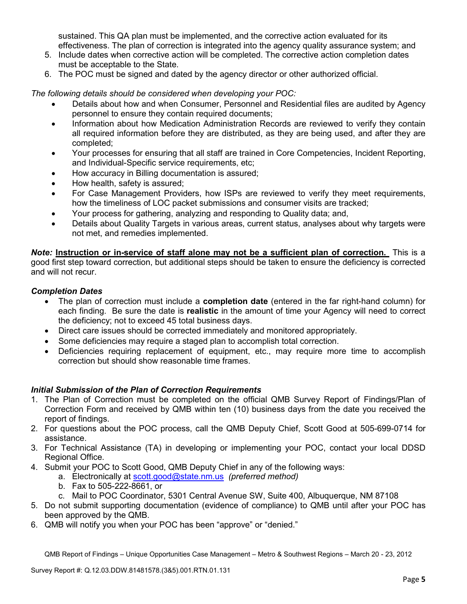sustained. This QA plan must be implemented, and the corrective action evaluated for its effectiveness. The plan of correction is integrated into the agency quality assurance system; and

- 5. Include dates when corrective action will be completed. The corrective action completion dates must be acceptable to the State.
- 6. The POC must be signed and dated by the agency director or other authorized official.

*The following details should be considered when developing your POC:* 

- Details about how and when Consumer, Personnel and Residential files are audited by Agency personnel to ensure they contain required documents;
- Information about how Medication Administration Records are reviewed to verify they contain all required information before they are distributed, as they are being used, and after they are completed;
- Your processes for ensuring that all staff are trained in Core Competencies, Incident Reporting, and Individual-Specific service requirements, etc;
- How accuracy in Billing documentation is assured;
- How health, safety is assured;
- For Case Management Providers, how ISPs are reviewed to verify they meet requirements, how the timeliness of LOC packet submissions and consumer visits are tracked;
- Your process for gathering, analyzing and responding to Quality data; and,
- Details about Quality Targets in various areas, current status, analyses about why targets were not met, and remedies implemented.

*Note:* **Instruction or in-service of staff alone may not be a sufficient plan of correction.** This is a good first step toward correction, but additional steps should be taken to ensure the deficiency is corrected and will not recur.

## *Completion Dates*

- The plan of correction must include a **completion date** (entered in the far right-hand column) for each finding. Be sure the date is **realistic** in the amount of time your Agency will need to correct the deficiency; not to exceed 45 total business days.
- Direct care issues should be corrected immediately and monitored appropriately.
- Some deficiencies may require a staged plan to accomplish total correction.
- Deficiencies requiring replacement of equipment, etc., may require more time to accomplish correction but should show reasonable time frames.

## *Initial Submission of the Plan of Correction Requirements*

- 1. The Plan of Correction must be completed on the official QMB Survey Report of Findings/Plan of Correction Form and received by QMB within ten (10) business days from the date you received the report of findings.
- 2. For questions about the POC process, call the QMB Deputy Chief, Scott Good at 505-699-0714 for assistance.
- 3. For Technical Assistance (TA) in developing or implementing your POC, contact your local DDSD Regional Office.
- 4. Submit your POC to Scott Good, QMB Deputy Chief in any of the following ways:
	- a. Electronically at scott.good@state.nm.us *(preferred method)*
	- b. Fax to 505-222-8661, or
	- c. Mail to POC Coordinator, 5301 Central Avenue SW, Suite 400, Albuquerque, NM 87108
- 5. Do not submit supporting documentation (evidence of compliance) to QMB until after your POC has been approved by the QMB.
- 6. QMB will notify you when your POC has been "approve" or "denied."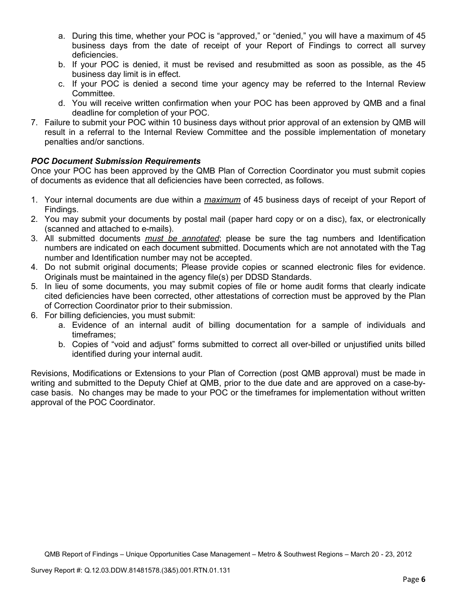- a. During this time, whether your POC is "approved," or "denied," you will have a maximum of 45 business days from the date of receipt of your Report of Findings to correct all survey deficiencies.
- b. If your POC is denied, it must be revised and resubmitted as soon as possible, as the 45 business day limit is in effect.
- c. If your POC is denied a second time your agency may be referred to the Internal Review Committee.
- d. You will receive written confirmation when your POC has been approved by QMB and a final deadline for completion of your POC.
- 7. Failure to submit your POC within 10 business days without prior approval of an extension by QMB will result in a referral to the Internal Review Committee and the possible implementation of monetary penalties and/or sanctions.

# *POC Document Submission Requirements*

Once your POC has been approved by the QMB Plan of Correction Coordinator you must submit copies of documents as evidence that all deficiencies have been corrected, as follows.

- 1. Your internal documents are due within a *maximum* of 45 business days of receipt of your Report of Findings.
- 2. You may submit your documents by postal mail (paper hard copy or on a disc), fax, or electronically (scanned and attached to e-mails).
- 3. All submitted documents *must be annotated*; please be sure the tag numbers and Identification numbers are indicated on each document submitted. Documents which are not annotated with the Tag number and Identification number may not be accepted.
- 4. Do not submit original documents; Please provide copies or scanned electronic files for evidence. Originals must be maintained in the agency file(s) per DDSD Standards.
- 5. In lieu of some documents, you may submit copies of file or home audit forms that clearly indicate cited deficiencies have been corrected, other attestations of correction must be approved by the Plan of Correction Coordinator prior to their submission.
- 6. For billing deficiencies, you must submit:
	- a. Evidence of an internal audit of billing documentation for a sample of individuals and timeframes;
	- b. Copies of "void and adjust" forms submitted to correct all over-billed or unjustified units billed identified during your internal audit.

Revisions, Modifications or Extensions to your Plan of Correction (post QMB approval) must be made in writing and submitted to the Deputy Chief at QMB, prior to the due date and are approved on a case-bycase basis. No changes may be made to your POC or the timeframes for implementation without written approval of the POC Coordinator.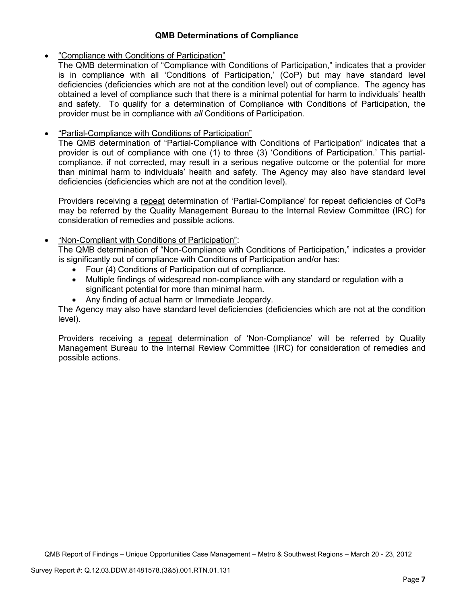## **QMB Determinations of Compliance**

## • "Compliance with Conditions of Participation"

The QMB determination of "Compliance with Conditions of Participation," indicates that a provider is in compliance with all 'Conditions of Participation,' (CoP) but may have standard level deficiencies (deficiencies which are not at the condition level) out of compliance. The agency has obtained a level of compliance such that there is a minimal potential for harm to individuals' health and safety. To qualify for a determination of Compliance with Conditions of Participation, the provider must be in compliance with *all* Conditions of Participation.

# • "Partial-Compliance with Conditions of Participation"

The QMB determination of "Partial-Compliance with Conditions of Participation" indicates that a provider is out of compliance with one (1) to three (3) 'Conditions of Participation.' This partialcompliance, if not corrected, may result in a serious negative outcome or the potential for more than minimal harm to individuals' health and safety. The Agency may also have standard level deficiencies (deficiencies which are not at the condition level).

Providers receiving a repeat determination of 'Partial-Compliance' for repeat deficiencies of CoPs may be referred by the Quality Management Bureau to the Internal Review Committee (IRC) for consideration of remedies and possible actions.

# • "Non-Compliant with Conditions of Participation":

The QMB determination of "Non-Compliance with Conditions of Participation," indicates a provider is significantly out of compliance with Conditions of Participation and/or has:

- Four (4) Conditions of Participation out of compliance.
- Multiple findings of widespread non-compliance with any standard or regulation with a significant potential for more than minimal harm.
- Any finding of actual harm or Immediate Jeopardy.

The Agency may also have standard level deficiencies (deficiencies which are not at the condition level).

Providers receiving a repeat determination of 'Non-Compliance' will be referred by Quality Management Bureau to the Internal Review Committee (IRC) for consideration of remedies and possible actions.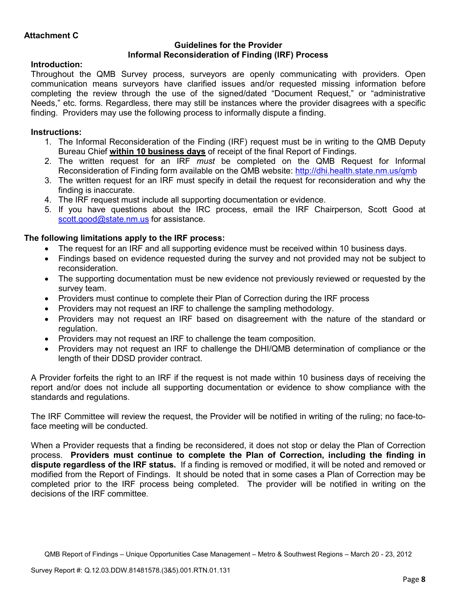### **Guidelines for the Provider Informal Reconsideration of Finding (IRF) Process**

# **Introduction:**

Throughout the QMB Survey process, surveyors are openly communicating with providers. Open communication means surveyors have clarified issues and/or requested missing information before completing the review through the use of the signed/dated "Document Request," or "administrative Needs," etc. forms. Regardless, there may still be instances where the provider disagrees with a specific finding. Providers may use the following process to informally dispute a finding.

# **Instructions:**

- 1. The Informal Reconsideration of the Finding (IRF) request must be in writing to the QMB Deputy Bureau Chief **within 10 business days** of receipt of the final Report of Findings.
- 2. The written request for an IRF *must* be completed on the QMB Request for Informal Reconsideration of Finding form available on the QMB website: http://dhi.health.state.nm.us/qmb
- 3. The written request for an IRF must specify in detail the request for reconsideration and why the finding is inaccurate.
- 4. The IRF request must include all supporting documentation or evidence.
- 5. If you have questions about the IRC process, email the IRF Chairperson, Scott Good at scott.good@state.nm.us for assistance.

# **The following limitations apply to the IRF process:**

- The request for an IRF and all supporting evidence must be received within 10 business days.
- Findings based on evidence requested during the survey and not provided may not be subject to reconsideration.
- The supporting documentation must be new evidence not previously reviewed or requested by the survey team.
- Providers must continue to complete their Plan of Correction during the IRF process
- Providers may not request an IRF to challenge the sampling methodology.
- Providers may not request an IRF based on disagreement with the nature of the standard or regulation.
- Providers may not request an IRF to challenge the team composition.
- Providers may not request an IRF to challenge the DHI/QMB determination of compliance or the length of their DDSD provider contract.

A Provider forfeits the right to an IRF if the request is not made within 10 business days of receiving the report and/or does not include all supporting documentation or evidence to show compliance with the standards and regulations.

The IRF Committee will review the request, the Provider will be notified in writing of the ruling; no face-toface meeting will be conducted.

When a Provider requests that a finding be reconsidered, it does not stop or delay the Plan of Correction process. **Providers must continue to complete the Plan of Correction, including the finding in dispute regardless of the IRF status.** If a finding is removed or modified, it will be noted and removed or modified from the Report of Findings. It should be noted that in some cases a Plan of Correction may be completed prior to the IRF process being completed. The provider will be notified in writing on the decisions of the IRF committee.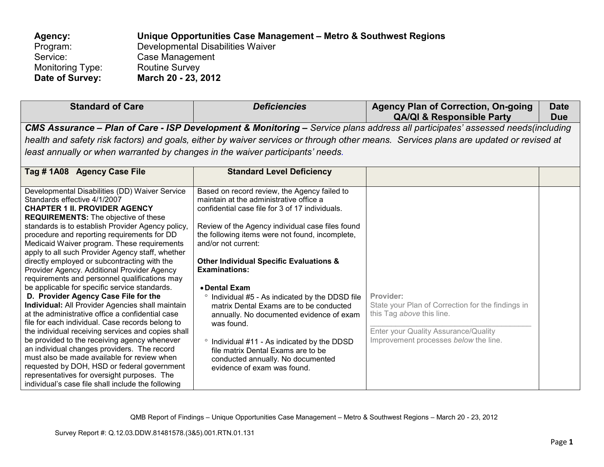| Agency:          | Unique Opportunities Case Management – Metro & Southwest Regions |
|------------------|------------------------------------------------------------------|
| Program:         | Developmental Disabilities Waiver                                |
| Service:         | Case Management                                                  |
| Monitoring Type: | <b>Routine Survey</b>                                            |
| Date of Survey:  | March 20 - 23, 2012                                              |

| <b>Standard of Care</b>                                                                                                                                                                                                                                                                                                                                                                                                                                                                                                                                                                                                                                                                                                                                                                                                                                                                                                                                                                                                                                                                                                                   | <b>Deficiencies</b>                                                                                                                                                                                                                                                                                                                                                                                                                                                                                                                                                                                                                                                                    | <b>Agency Plan of Correction, On-going</b><br><b>QA/QI &amp; Responsible Party</b>                                                                                           | Date<br><b>Due</b> |  |  |
|-------------------------------------------------------------------------------------------------------------------------------------------------------------------------------------------------------------------------------------------------------------------------------------------------------------------------------------------------------------------------------------------------------------------------------------------------------------------------------------------------------------------------------------------------------------------------------------------------------------------------------------------------------------------------------------------------------------------------------------------------------------------------------------------------------------------------------------------------------------------------------------------------------------------------------------------------------------------------------------------------------------------------------------------------------------------------------------------------------------------------------------------|----------------------------------------------------------------------------------------------------------------------------------------------------------------------------------------------------------------------------------------------------------------------------------------------------------------------------------------------------------------------------------------------------------------------------------------------------------------------------------------------------------------------------------------------------------------------------------------------------------------------------------------------------------------------------------------|------------------------------------------------------------------------------------------------------------------------------------------------------------------------------|--------------------|--|--|
|                                                                                                                                                                                                                                                                                                                                                                                                                                                                                                                                                                                                                                                                                                                                                                                                                                                                                                                                                                                                                                                                                                                                           | CMS Assurance - Plan of Care - ISP Development & Monitoring - Service plans address all participates' assessed needs(including<br>health and safety risk factors) and goals, either by waiver services or through other means. Services plans are updated or revised at<br>least annually or when warranted by changes in the waiver participants' needs.                                                                                                                                                                                                                                                                                                                              |                                                                                                                                                                              |                    |  |  |
| Tag #1A08 Agency Case File                                                                                                                                                                                                                                                                                                                                                                                                                                                                                                                                                                                                                                                                                                                                                                                                                                                                                                                                                                                                                                                                                                                | <b>Standard Level Deficiency</b>                                                                                                                                                                                                                                                                                                                                                                                                                                                                                                                                                                                                                                                       |                                                                                                                                                                              |                    |  |  |
| Developmental Disabilities (DD) Waiver Service<br>Standards effective 4/1/2007<br><b>CHAPTER 1 II. PROVIDER AGENCY</b><br><b>REQUIREMENTS:</b> The objective of these<br>standards is to establish Provider Agency policy,<br>procedure and reporting requirements for DD<br>Medicaid Waiver program. These requirements<br>apply to all such Provider Agency staff, whether<br>directly employed or subcontracting with the<br>Provider Agency. Additional Provider Agency<br>requirements and personnel qualifications may<br>be applicable for specific service standards.<br>D. Provider Agency Case File for the<br>Individual: All Provider Agencies shall maintain<br>at the administrative office a confidential case<br>file for each individual. Case records belong to<br>the individual receiving services and copies shall<br>be provided to the receiving agency whenever<br>an individual changes providers. The record<br>must also be made available for review when<br>requested by DOH, HSD or federal government<br>representatives for oversight purposes. The<br>individual's case file shall include the following | Based on record review, the Agency failed to<br>maintain at the administrative office a<br>confidential case file for 3 of 17 individuals.<br>Review of the Agency individual case files found<br>the following items were not found, incomplete,<br>and/or not current:<br><b>Other Individual Specific Evaluations &amp;</b><br><b>Examinations:</b><br>• Dental Exam<br>Individual #5 - As indicated by the DDSD file<br>matrix Dental Exams are to be conducted<br>annually. No documented evidence of exam<br>was found.<br>° Individual #11 - As indicated by the DDSD<br>file matrix Dental Exams are to be<br>conducted annually. No documented<br>evidence of exam was found. | Provider:<br>State your Plan of Correction for the findings in<br>this Tag above this line.<br>Enter your Quality Assurance/Quality<br>Improvement processes below the line. |                    |  |  |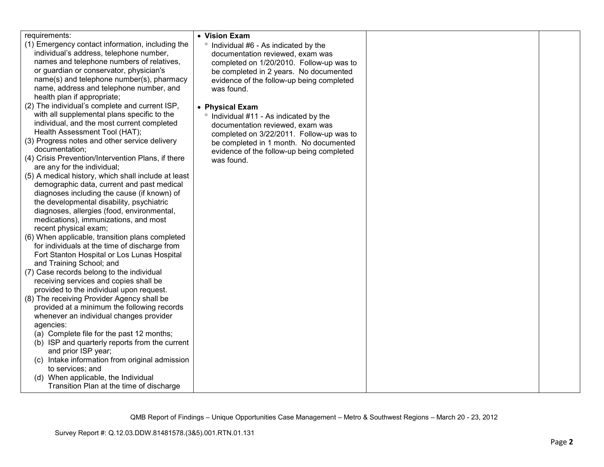| requirements:                                       | • Vision Exam                             |  |
|-----------------------------------------------------|-------------------------------------------|--|
| (1) Emergency contact information, including the    | ° Individual #6 - As indicated by the     |  |
| individual's address, telephone number,             | documentation reviewed, exam was          |  |
| names and telephone numbers of relatives,           | completed on 1/20/2010. Follow-up was to  |  |
| or guardian or conservator, physician's             | be completed in 2 years. No documented    |  |
| name(s) and telephone number(s), pharmacy           | evidence of the follow-up being completed |  |
| name, address and telephone number, and             | was found.                                |  |
| health plan if appropriate;                         |                                           |  |
| (2) The individual's complete and current ISP,      | • Physical Exam                           |  |
| with all supplemental plans specific to the         | ° Individual #11 - As indicated by the    |  |
| individual, and the most current completed          | documentation reviewed, exam was          |  |
| Health Assessment Tool (HAT);                       | completed on 3/22/2011. Follow-up was to  |  |
| (3) Progress notes and other service delivery       | be completed in 1 month. No documented    |  |
| documentation;                                      | evidence of the follow-up being completed |  |
| (4) Crisis Prevention/Intervention Plans, if there  | was found.                                |  |
| are any for the individual;                         |                                           |  |
| (5) A medical history, which shall include at least |                                           |  |
| demographic data, current and past medical          |                                           |  |
| diagnoses including the cause (if known) of         |                                           |  |
| the developmental disability, psychiatric           |                                           |  |
| diagnoses, allergies (food, environmental,          |                                           |  |
| medications), immunizations, and most               |                                           |  |
| recent physical exam;                               |                                           |  |
| (6) When applicable, transition plans completed     |                                           |  |
| for individuals at the time of discharge from       |                                           |  |
| Fort Stanton Hospital or Los Lunas Hospital         |                                           |  |
| and Training School; and                            |                                           |  |
| (7) Case records belong to the individual           |                                           |  |
| receiving services and copies shall be              |                                           |  |
| provided to the individual upon request.            |                                           |  |
| (8) The receiving Provider Agency shall be          |                                           |  |
| provided at a minimum the following records         |                                           |  |
| whenever an individual changes provider             |                                           |  |
| agencies:                                           |                                           |  |
| (a) Complete file for the past 12 months;           |                                           |  |
| (b) ISP and quarterly reports from the current      |                                           |  |
| and prior ISP year;                                 |                                           |  |
| (c) Intake information from original admission      |                                           |  |
| to services; and                                    |                                           |  |
| (d) When applicable, the Individual                 |                                           |  |
| Transition Plan at the time of discharge            |                                           |  |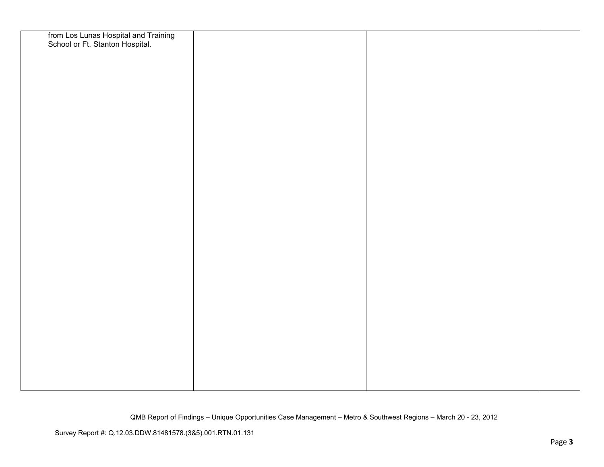| from Los Lunas Hospital and Training<br>School or Ft. Stanton Hospital. |  |  |
|-------------------------------------------------------------------------|--|--|
|                                                                         |  |  |
|                                                                         |  |  |
|                                                                         |  |  |
|                                                                         |  |  |
|                                                                         |  |  |
|                                                                         |  |  |
|                                                                         |  |  |
|                                                                         |  |  |
|                                                                         |  |  |
|                                                                         |  |  |
|                                                                         |  |  |
|                                                                         |  |  |
|                                                                         |  |  |
|                                                                         |  |  |
|                                                                         |  |  |
|                                                                         |  |  |
|                                                                         |  |  |
|                                                                         |  |  |
|                                                                         |  |  |
|                                                                         |  |  |
|                                                                         |  |  |
|                                                                         |  |  |
|                                                                         |  |  |
|                                                                         |  |  |
|                                                                         |  |  |
|                                                                         |  |  |
|                                                                         |  |  |
|                                                                         |  |  |
|                                                                         |  |  |
|                                                                         |  |  |
|                                                                         |  |  |
|                                                                         |  |  |
|                                                                         |  |  |
|                                                                         |  |  |
|                                                                         |  |  |
|                                                                         |  |  |
|                                                                         |  |  |
|                                                                         |  |  |
|                                                                         |  |  |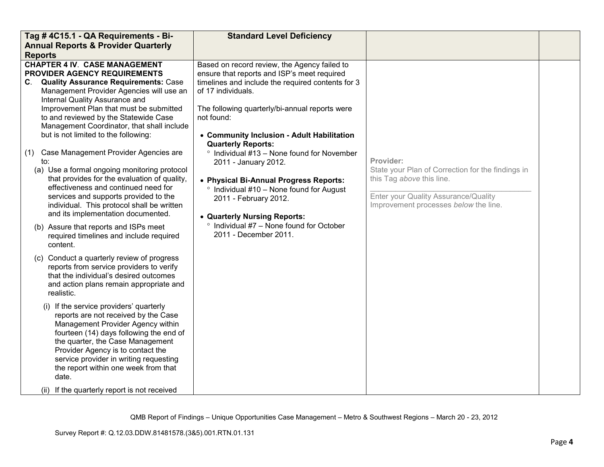| Tag #4C15.1 - QA Requirements - Bi-                                                                                                                                                                                                                                                                                                                                                                                                                                                                                | <b>Standard Level Deficiency</b>                                                                                                                                                                                                                                                                                                     |                                                                                                                                                                              |  |
|--------------------------------------------------------------------------------------------------------------------------------------------------------------------------------------------------------------------------------------------------------------------------------------------------------------------------------------------------------------------------------------------------------------------------------------------------------------------------------------------------------------------|--------------------------------------------------------------------------------------------------------------------------------------------------------------------------------------------------------------------------------------------------------------------------------------------------------------------------------------|------------------------------------------------------------------------------------------------------------------------------------------------------------------------------|--|
| <b>Annual Reports &amp; Provider Quarterly</b>                                                                                                                                                                                                                                                                                                                                                                                                                                                                     |                                                                                                                                                                                                                                                                                                                                      |                                                                                                                                                                              |  |
| <b>Reports</b>                                                                                                                                                                                                                                                                                                                                                                                                                                                                                                     |                                                                                                                                                                                                                                                                                                                                      |                                                                                                                                                                              |  |
| <b>CHAPTER 4 IV. CASE MANAGEMENT</b><br><b>PROVIDER AGENCY REQUIREMENTS</b><br>C. Quality Assurance Requirements: Case<br>Management Provider Agencies will use an<br>Internal Quality Assurance and<br>Improvement Plan that must be submitted<br>to and reviewed by the Statewide Case<br>Management Coordinator, that shall include<br>but is not limited to the following:                                                                                                                                     | Based on record review, the Agency failed to<br>ensure that reports and ISP's meet required<br>timelines and include the required contents for 3<br>of 17 individuals.<br>The following quarterly/bi-annual reports were<br>not found:<br>• Community Inclusion - Adult Habilitation                                                 |                                                                                                                                                                              |  |
| Case Management Provider Agencies are<br>(1)<br>to:<br>(a) Use a formal ongoing monitoring protocol<br>that provides for the evaluation of quality,<br>effectiveness and continued need for<br>services and supports provided to the<br>individual. This protocol shall be written<br>and its implementation documented.<br>(b) Assure that reports and ISPs meet<br>required timelines and include required<br>content.<br>(c) Conduct a quarterly review of progress<br>reports from service providers to verify | <b>Quarterly Reports:</b><br>$\degree$ Individual #13 – None found for November<br>2011 - January 2012.<br>• Physical Bi-Annual Progress Reports:<br><sup>o</sup> Individual #10 - None found for August<br>2011 - February 2012.<br>• Quarterly Nursing Reports:<br>Individual #7 - None found for October<br>2011 - December 2011. | Provider:<br>State your Plan of Correction for the findings in<br>this Tag above this line.<br>Enter your Quality Assurance/Quality<br>Improvement processes below the line. |  |
| that the individual's desired outcomes<br>and action plans remain appropriate and<br>realistic.<br>(i) If the service providers' quarterly<br>reports are not received by the Case<br>Management Provider Agency within<br>fourteen (14) days following the end of                                                                                                                                                                                                                                                 |                                                                                                                                                                                                                                                                                                                                      |                                                                                                                                                                              |  |
| the quarter, the Case Management<br>Provider Agency is to contact the<br>service provider in writing requesting<br>the report within one week from that<br>date.<br>(ii) If the quarterly report is not received                                                                                                                                                                                                                                                                                                   |                                                                                                                                                                                                                                                                                                                                      |                                                                                                                                                                              |  |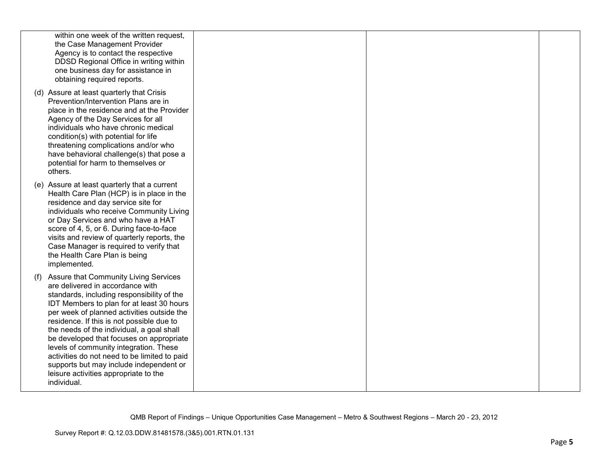| within one week of the written request,<br>the Case Management Provider<br>Agency is to contact the respective<br>DDSD Regional Office in writing within<br>one business day for assistance in<br>obtaining required reports.                                                                                                                                                                                                                                                                                                                             |  |  |
|-----------------------------------------------------------------------------------------------------------------------------------------------------------------------------------------------------------------------------------------------------------------------------------------------------------------------------------------------------------------------------------------------------------------------------------------------------------------------------------------------------------------------------------------------------------|--|--|
| (d) Assure at least quarterly that Crisis<br>Prevention/Intervention Plans are in<br>place in the residence and at the Provider<br>Agency of the Day Services for all<br>individuals who have chronic medical<br>condition(s) with potential for life<br>threatening complications and/or who<br>have behavioral challenge(s) that pose a<br>potential for harm to themselves or<br>others.                                                                                                                                                               |  |  |
| (e) Assure at least quarterly that a current<br>Health Care Plan (HCP) is in place in the<br>residence and day service site for<br>individuals who receive Community Living<br>or Day Services and who have a HAT<br>score of 4, 5, or 6. During face-to-face<br>visits and review of quarterly reports, the<br>Case Manager is required to verify that<br>the Health Care Plan is being<br>implemented.                                                                                                                                                  |  |  |
| (f) Assure that Community Living Services<br>are delivered in accordance with<br>standards, including responsibility of the<br>IDT Members to plan for at least 30 hours<br>per week of planned activities outside the<br>residence. If this is not possible due to<br>the needs of the individual, a goal shall<br>be developed that focuses on appropriate<br>levels of community integration. These<br>activities do not need to be limited to paid<br>supports but may include independent or<br>leisure activities appropriate to the<br>individual. |  |  |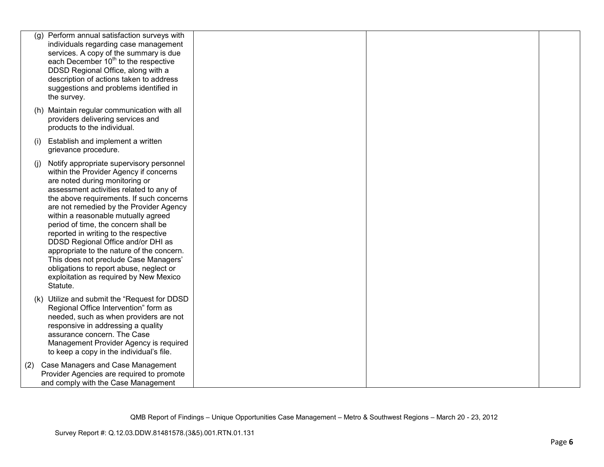|     | (g) Perform annual satisfaction surveys with<br>individuals regarding case management<br>services. A copy of the summary is due<br>each December 10 <sup>th</sup> to the respective<br>DDSD Regional Office, along with a<br>description of actions taken to address<br>suggestions and problems identified in<br>the survey.                                                                                                                                                                                                                                                                               |  |  |
|-----|-------------------------------------------------------------------------------------------------------------------------------------------------------------------------------------------------------------------------------------------------------------------------------------------------------------------------------------------------------------------------------------------------------------------------------------------------------------------------------------------------------------------------------------------------------------------------------------------------------------|--|--|
|     | (h) Maintain regular communication with all<br>providers delivering services and<br>products to the individual.                                                                                                                                                                                                                                                                                                                                                                                                                                                                                             |  |  |
| (i) | Establish and implement a written<br>grievance procedure.                                                                                                                                                                                                                                                                                                                                                                                                                                                                                                                                                   |  |  |
| (i) | Notify appropriate supervisory personnel<br>within the Provider Agency if concerns<br>are noted during monitoring or<br>assessment activities related to any of<br>the above requirements. If such concerns<br>are not remedied by the Provider Agency<br>within a reasonable mutually agreed<br>period of time, the concern shall be<br>reported in writing to the respective<br>DDSD Regional Office and/or DHI as<br>appropriate to the nature of the concern.<br>This does not preclude Case Managers'<br>obligations to report abuse, neglect or<br>exploitation as required by New Mexico<br>Statute. |  |  |
|     | (k) Utilize and submit the "Request for DDSD<br>Regional Office Intervention" form as<br>needed, such as when providers are not<br>responsive in addressing a quality<br>assurance concern. The Case<br>Management Provider Agency is required<br>to keep a copy in the individual's file.                                                                                                                                                                                                                                                                                                                  |  |  |
| (2) | Case Managers and Case Management<br>Provider Agencies are required to promote<br>and comply with the Case Management                                                                                                                                                                                                                                                                                                                                                                                                                                                                                       |  |  |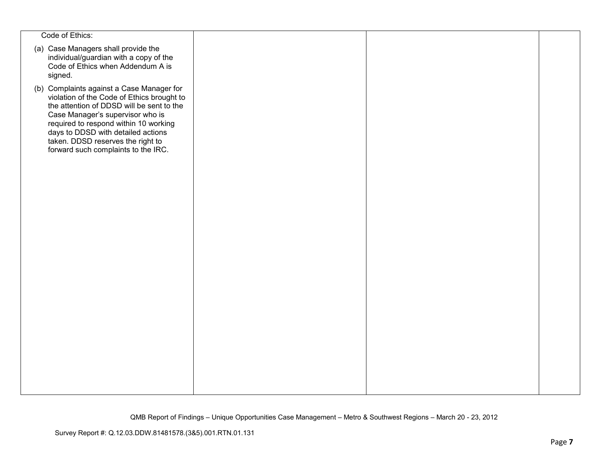| Code of Ethics:                                                                                                                                                                                                                                                                                                                     |  |  |
|-------------------------------------------------------------------------------------------------------------------------------------------------------------------------------------------------------------------------------------------------------------------------------------------------------------------------------------|--|--|
| (a) Case Managers shall provide the<br>individual/guardian with a copy of the<br>Code of Ethics when Addendum A is<br>signed.                                                                                                                                                                                                       |  |  |
| (b) Complaints against a Case Manager for<br>violation of the Code of Ethics brought to<br>the attention of DDSD will be sent to the<br>Case Manager's supervisor who is<br>required to respond within 10 working<br>days to DDSD with detailed actions<br>taken. DDSD reserves the right to<br>forward such complaints to the IRC. |  |  |
|                                                                                                                                                                                                                                                                                                                                     |  |  |
|                                                                                                                                                                                                                                                                                                                                     |  |  |
|                                                                                                                                                                                                                                                                                                                                     |  |  |
|                                                                                                                                                                                                                                                                                                                                     |  |  |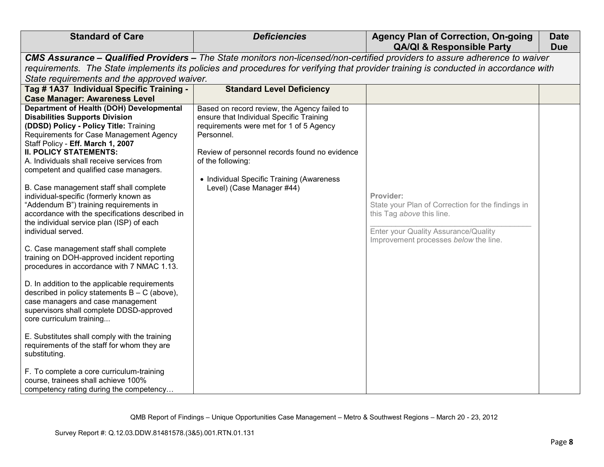| <b>Standard of Care</b>                                                                                                                                                                                                                                                                                                                                                                                                                                                                                                                                                                                                                                                                    | <b>Deficiencies</b>                                                                                                                                                                                                                                                                               | <b>Agency Plan of Correction, On-going</b><br><b>QA/QI &amp; Responsible Party</b>                                                                                           | <b>Date</b><br><b>Due</b> |  |  |  |
|--------------------------------------------------------------------------------------------------------------------------------------------------------------------------------------------------------------------------------------------------------------------------------------------------------------------------------------------------------------------------------------------------------------------------------------------------------------------------------------------------------------------------------------------------------------------------------------------------------------------------------------------------------------------------------------------|---------------------------------------------------------------------------------------------------------------------------------------------------------------------------------------------------------------------------------------------------------------------------------------------------|------------------------------------------------------------------------------------------------------------------------------------------------------------------------------|---------------------------|--|--|--|
|                                                                                                                                                                                                                                                                                                                                                                                                                                                                                                                                                                                                                                                                                            |                                                                                                                                                                                                                                                                                                   | CMS Assurance - Qualified Providers - The State monitors non-licensed/non-certified providers to assure adherence to waiver                                                  |                           |  |  |  |
|                                                                                                                                                                                                                                                                                                                                                                                                                                                                                                                                                                                                                                                                                            | requirements. The State implements its policies and procedures for verifying that provider training is conducted in accordance with                                                                                                                                                               |                                                                                                                                                                              |                           |  |  |  |
| State requirements and the approved waiver.                                                                                                                                                                                                                                                                                                                                                                                                                                                                                                                                                                                                                                                |                                                                                                                                                                                                                                                                                                   |                                                                                                                                                                              |                           |  |  |  |
| Tag # 1A37 Individual Specific Training -                                                                                                                                                                                                                                                                                                                                                                                                                                                                                                                                                                                                                                                  | <b>Standard Level Deficiency</b>                                                                                                                                                                                                                                                                  |                                                                                                                                                                              |                           |  |  |  |
| <b>Case Manager: Awareness Level</b>                                                                                                                                                                                                                                                                                                                                                                                                                                                                                                                                                                                                                                                       |                                                                                                                                                                                                                                                                                                   |                                                                                                                                                                              |                           |  |  |  |
| <b>Department of Health (DOH) Developmental</b><br><b>Disabilities Supports Division</b><br>(DDSD) Policy - Policy Title: Training<br>Requirements for Case Management Agency<br>Staff Policy - Eff. March 1, 2007<br><b>II. POLICY STATEMENTS:</b><br>A. Individuals shall receive services from<br>competent and qualified case managers.<br>B. Case management staff shall complete<br>individual-specific (formerly known as<br>"Addendum B") training requirements in<br>accordance with the specifications described in<br>the individual service plan (ISP) of each<br>individual served.<br>C. Case management staff shall complete<br>training on DOH-approved incident reporting | Based on record review, the Agency failed to<br>ensure that Individual Specific Training<br>requirements were met for 1 of 5 Agency<br>Personnel.<br>Review of personnel records found no evidence<br>of the following:<br>• Individual Specific Training (Awareness<br>Level) (Case Manager #44) | Provider:<br>State your Plan of Correction for the findings in<br>this Tag above this line.<br>Enter your Quality Assurance/Quality<br>Improvement processes below the line. |                           |  |  |  |
| procedures in accordance with 7 NMAC 1.13.<br>D. In addition to the applicable requirements<br>described in policy statements $B - C$ (above),<br>case managers and case management<br>supervisors shall complete DDSD-approved<br>core curriculum training<br>E. Substitutes shall comply with the training<br>requirements of the staff for whom they are<br>substituting.<br>F. To complete a core curriculum-training<br>course, trainees shall achieve 100%<br>competency rating during the competency                                                                                                                                                                                |                                                                                                                                                                                                                                                                                                   |                                                                                                                                                                              |                           |  |  |  |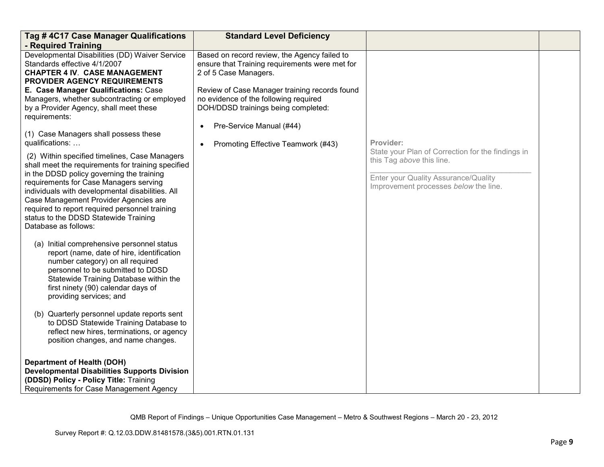| Tag #4C17 Case Manager Qualifications                                                                                                                                                                                                                                                                                                                                                                                                                                                                                                                                                                                                                                                      | <b>Standard Level Deficiency</b>                                                                                                                                                                                                                                                     |                                                                                                                                                                 |  |
|--------------------------------------------------------------------------------------------------------------------------------------------------------------------------------------------------------------------------------------------------------------------------------------------------------------------------------------------------------------------------------------------------------------------------------------------------------------------------------------------------------------------------------------------------------------------------------------------------------------------------------------------------------------------------------------------|--------------------------------------------------------------------------------------------------------------------------------------------------------------------------------------------------------------------------------------------------------------------------------------|-----------------------------------------------------------------------------------------------------------------------------------------------------------------|--|
| - Required Training<br>Developmental Disabilities (DD) Waiver Service<br>Standards effective 4/1/2007<br><b>CHAPTER 4 IV. CASE MANAGEMENT</b><br>PROVIDER AGENCY REQUIREMENTS<br>E. Case Manager Qualifications: Case<br>Managers, whether subcontracting or employed<br>by a Provider Agency, shall meet these<br>requirements:                                                                                                                                                                                                                                                                                                                                                           | Based on record review, the Agency failed to<br>ensure that Training requirements were met for<br>2 of 5 Case Managers.<br>Review of Case Manager training records found<br>no evidence of the following required<br>DOH/DDSD trainings being completed:<br>Pre-Service Manual (#44) |                                                                                                                                                                 |  |
| (1) Case Managers shall possess these<br>qualifications:                                                                                                                                                                                                                                                                                                                                                                                                                                                                                                                                                                                                                                   | Promoting Effective Teamwork (#43)<br>$\bullet$                                                                                                                                                                                                                                      | Provider:                                                                                                                                                       |  |
| (2) Within specified timelines, Case Managers<br>shall meet the requirements for training specified<br>in the DDSD policy governing the training<br>requirements for Case Managers serving<br>individuals with developmental disabilities. All<br>Case Management Provider Agencies are<br>required to report required personnel training<br>status to the DDSD Statewide Training<br>Database as follows:<br>(a) Initial comprehensive personnel status<br>report (name, date of hire, identification<br>number category) on all required<br>personnel to be submitted to DDSD<br>Statewide Training Database within the<br>first ninety (90) calendar days of<br>providing services; and |                                                                                                                                                                                                                                                                                      | State your Plan of Correction for the findings in<br>this Tag above this line.<br>Enter your Quality Assurance/Quality<br>Improvement processes below the line. |  |
| (b) Quarterly personnel update reports sent<br>to DDSD Statewide Training Database to<br>reflect new hires, terminations, or agency<br>position changes, and name changes.                                                                                                                                                                                                                                                                                                                                                                                                                                                                                                                 |                                                                                                                                                                                                                                                                                      |                                                                                                                                                                 |  |
| <b>Department of Health (DOH)</b><br><b>Developmental Disabilities Supports Division</b><br>(DDSD) Policy - Policy Title: Training<br>Requirements for Case Management Agency                                                                                                                                                                                                                                                                                                                                                                                                                                                                                                              |                                                                                                                                                                                                                                                                                      |                                                                                                                                                                 |  |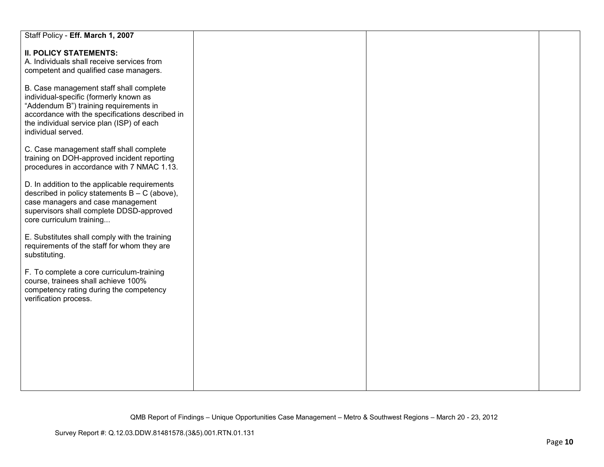| Staff Policy - Eff. March 1, 2007                                                                                                                                                                                                                 |  |  |
|---------------------------------------------------------------------------------------------------------------------------------------------------------------------------------------------------------------------------------------------------|--|--|
| <b>II. POLICY STATEMENTS:</b><br>A. Individuals shall receive services from<br>competent and qualified case managers.                                                                                                                             |  |  |
| B. Case management staff shall complete<br>individual-specific (formerly known as<br>"Addendum B") training requirements in<br>accordance with the specifications described in<br>the individual service plan (ISP) of each<br>individual served. |  |  |
| C. Case management staff shall complete<br>training on DOH-approved incident reporting<br>procedures in accordance with 7 NMAC 1.13.                                                                                                              |  |  |
| D. In addition to the applicable requirements<br>described in policy statements $B - C$ (above),<br>case managers and case management<br>supervisors shall complete DDSD-approved<br>core curriculum training                                     |  |  |
| E. Substitutes shall comply with the training<br>requirements of the staff for whom they are<br>substituting.                                                                                                                                     |  |  |
| F. To complete a core curriculum-training<br>course, trainees shall achieve 100%<br>competency rating during the competency<br>verification process.                                                                                              |  |  |
|                                                                                                                                                                                                                                                   |  |  |
|                                                                                                                                                                                                                                                   |  |  |
|                                                                                                                                                                                                                                                   |  |  |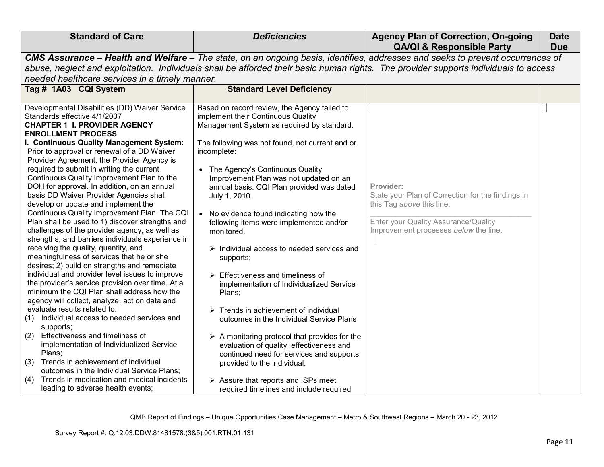| <b>Standard of Care</b>                                                                                                              | <b>Deficiencies</b>                                                                                                            | <b>Agency Plan of Correction, On-going</b><br><b>QA/QI &amp; Responsible Party</b> | <b>Date</b><br><b>Due</b> |
|--------------------------------------------------------------------------------------------------------------------------------------|--------------------------------------------------------------------------------------------------------------------------------|------------------------------------------------------------------------------------|---------------------------|
|                                                                                                                                      | CMS Assurance - Health and Welfare - The state, on an ongoing basis, identifies, addresses and seeks to prevent occurrences of |                                                                                    |                           |
| abuse, neglect and exploitation. Individuals shall be afforded their basic human rights. The provider supports individuals to access |                                                                                                                                |                                                                                    |                           |
| needed healthcare services in a timely manner.                                                                                       |                                                                                                                                |                                                                                    |                           |
| Tag # 1A03 CQI System                                                                                                                | <b>Standard Level Deficiency</b>                                                                                               |                                                                                    |                           |
|                                                                                                                                      |                                                                                                                                |                                                                                    |                           |
| Developmental Disabilities (DD) Waiver Service                                                                                       | Based on record review, the Agency failed to                                                                                   |                                                                                    |                           |
| Standards effective 4/1/2007                                                                                                         | implement their Continuous Quality                                                                                             |                                                                                    |                           |
| <b>CHAPTER 1 I. PROVIDER AGENCY</b><br><b>ENROLLMENT PROCESS</b>                                                                     | Management System as required by standard.                                                                                     |                                                                                    |                           |
| I. Continuous Quality Management System:                                                                                             | The following was not found, not current and or                                                                                |                                                                                    |                           |
| Prior to approval or renewal of a DD Waiver                                                                                          | incomplete:                                                                                                                    |                                                                                    |                           |
| Provider Agreement, the Provider Agency is                                                                                           |                                                                                                                                |                                                                                    |                           |
| required to submit in writing the current                                                                                            | • The Agency's Continuous Quality                                                                                              |                                                                                    |                           |
| Continuous Quality Improvement Plan to the                                                                                           | Improvement Plan was not updated on an                                                                                         |                                                                                    |                           |
| DOH for approval. In addition, on an annual                                                                                          | annual basis. CQI Plan provided was dated                                                                                      | Provider:                                                                          |                           |
| basis DD Waiver Provider Agencies shall                                                                                              | July 1, 2010.                                                                                                                  | State your Plan of Correction for the findings in                                  |                           |
| develop or update and implement the                                                                                                  |                                                                                                                                | this Tag above this line.                                                          |                           |
| Continuous Quality Improvement Plan. The CQI<br>Plan shall be used to 1) discover strengths and                                      | • No evidence found indicating how the                                                                                         | Enter your Quality Assurance/Quality                                               |                           |
| challenges of the provider agency, as well as                                                                                        | following items were implemented and/or<br>monitored.                                                                          | Improvement processes below the line.                                              |                           |
| strengths, and barriers individuals experience in                                                                                    |                                                                                                                                |                                                                                    |                           |
| receiving the quality, quantity, and                                                                                                 | $\triangleright$ Individual access to needed services and                                                                      |                                                                                    |                           |
| meaningfulness of services that he or she                                                                                            | supports;                                                                                                                      |                                                                                    |                           |
| desires; 2) build on strengths and remediate                                                                                         |                                                                                                                                |                                                                                    |                           |
| individual and provider level issues to improve                                                                                      | $\triangleright$ Effectiveness and timeliness of                                                                               |                                                                                    |                           |
| the provider's service provision over time. At a                                                                                     | implementation of Individualized Service                                                                                       |                                                                                    |                           |
| minimum the CQI Plan shall address how the                                                                                           | Plans;                                                                                                                         |                                                                                    |                           |
| agency will collect, analyze, act on data and<br>evaluate results related to:                                                        | $\triangleright$ Trends in achievement of individual                                                                           |                                                                                    |                           |
| (1) Individual access to needed services and                                                                                         | outcomes in the Individual Service Plans                                                                                       |                                                                                    |                           |
| supports;                                                                                                                            |                                                                                                                                |                                                                                    |                           |
| Effectiveness and timeliness of<br>(2)                                                                                               | $\triangleright$ A monitoring protocol that provides for the                                                                   |                                                                                    |                           |
| implementation of Individualized Service                                                                                             | evaluation of quality, effectiveness and                                                                                       |                                                                                    |                           |
| Plans;                                                                                                                               | continued need for services and supports                                                                                       |                                                                                    |                           |
| (3) Trends in achievement of individual                                                                                              | provided to the individual.                                                                                                    |                                                                                    |                           |
| outcomes in the Individual Service Plans;                                                                                            |                                                                                                                                |                                                                                    |                           |
| Trends in medication and medical incidents<br>(4)                                                                                    | $\triangleright$ Assure that reports and ISPs meet                                                                             |                                                                                    |                           |
| leading to adverse health events;                                                                                                    | required timelines and include required                                                                                        |                                                                                    |                           |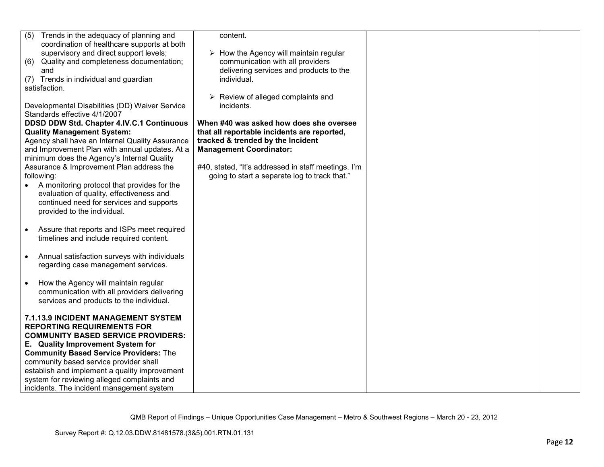| Trends in the adequacy of planning and<br>(5)<br>coordination of healthcare supports at both<br>supervisory and direct support levels;                                              | content.<br>$\triangleright$ How the Agency will maintain regular                                                                                             |  |
|-------------------------------------------------------------------------------------------------------------------------------------------------------------------------------------|---------------------------------------------------------------------------------------------------------------------------------------------------------------|--|
| Quality and completeness documentation;<br>(6)<br>and                                                                                                                               | communication with all providers<br>delivering services and products to the                                                                                   |  |
| Trends in individual and guardian<br>(7)<br>satisfaction.                                                                                                                           | individual.                                                                                                                                                   |  |
| Developmental Disabilities (DD) Waiver Service<br>Standards effective 4/1/2007                                                                                                      | $\triangleright$ Review of alleged complaints and<br>incidents.                                                                                               |  |
| DDSD DDW Std. Chapter 4.IV.C.1 Continuous<br><b>Quality Management System:</b><br>Agency shall have an Internal Quality Assurance<br>and Improvement Plan with annual updates. At a | When #40 was asked how does she oversee<br>that all reportable incidents are reported,<br>tracked & trended by the Incident<br><b>Management Coordinator:</b> |  |
| minimum does the Agency's Internal Quality<br>Assurance & Improvement Plan address the<br>following:                                                                                | #40, stated, "It's addressed in staff meetings. I'm<br>going to start a separate log to track that."                                                          |  |
| A monitoring protocol that provides for the<br>evaluation of quality, effectiveness and<br>continued need for services and supports<br>provided to the individual.                  |                                                                                                                                                               |  |
| Assure that reports and ISPs meet required<br>$\bullet$<br>timelines and include required content.                                                                                  |                                                                                                                                                               |  |
| Annual satisfaction surveys with individuals<br>$\bullet$<br>regarding case management services.                                                                                    |                                                                                                                                                               |  |
| How the Agency will maintain regular<br>communication with all providers delivering<br>services and products to the individual.                                                     |                                                                                                                                                               |  |
| 7.1.13.9 INCIDENT MANAGEMENT SYSTEM<br><b>REPORTING REQUIREMENTS FOR</b>                                                                                                            |                                                                                                                                                               |  |
| <b>COMMUNITY BASED SERVICE PROVIDERS:</b><br>E. Quality Improvement System for                                                                                                      |                                                                                                                                                               |  |
| <b>Community Based Service Providers: The</b>                                                                                                                                       |                                                                                                                                                               |  |
| community based service provider shall                                                                                                                                              |                                                                                                                                                               |  |
| establish and implement a quality improvement                                                                                                                                       |                                                                                                                                                               |  |
| system for reviewing alleged complaints and<br>incidents. The incident management system                                                                                            |                                                                                                                                                               |  |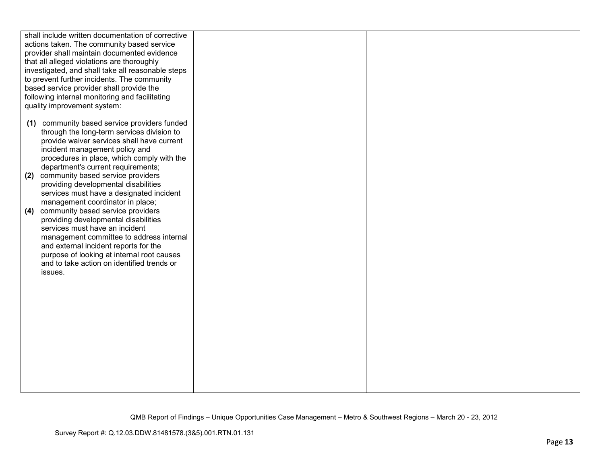| shall include written documentation of corrective<br>actions taken. The community based service<br>provider shall maintain documented evidence<br>that all alleged violations are thoroughly<br>investigated, and shall take all reasonable steps<br>to prevent further incidents. The community<br>based service provider shall provide the<br>following internal monitoring and facilitating<br>quality improvement system: |  |  |
|-------------------------------------------------------------------------------------------------------------------------------------------------------------------------------------------------------------------------------------------------------------------------------------------------------------------------------------------------------------------------------------------------------------------------------|--|--|
| (1) community based service providers funded<br>through the long-term services division to<br>provide waiver services shall have current<br>incident management policy and<br>procedures in place, which comply with the<br>department's current requirements;<br>community based service providers<br>(2)<br>providing developmental disabilities                                                                            |  |  |
| services must have a designated incident<br>management coordinator in place;<br>community based service providers<br>(4)<br>providing developmental disabilities<br>services must have an incident<br>management committee to address internal<br>and external incident reports for the<br>purpose of looking at internal root causes<br>and to take action on identified trends or<br>issues.                                |  |  |
|                                                                                                                                                                                                                                                                                                                                                                                                                               |  |  |
|                                                                                                                                                                                                                                                                                                                                                                                                                               |  |  |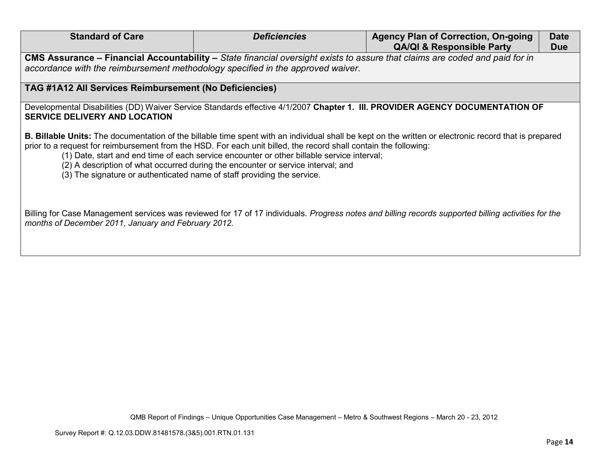| <b>Standard of Care</b>                                                                                                                                                                                        | <b>Deficiencies</b>                                                                                                                                                                                                                                                                                | <b>Agency Plan of Correction, On-going</b><br><b>QA/QI &amp; Responsible Party</b>                                                                           | <b>Date</b><br><b>Due</b> |
|----------------------------------------------------------------------------------------------------------------------------------------------------------------------------------------------------------------|----------------------------------------------------------------------------------------------------------------------------------------------------------------------------------------------------------------------------------------------------------------------------------------------------|--------------------------------------------------------------------------------------------------------------------------------------------------------------|---------------------------|
| CMS Assurance – Financial Accountability – State financial oversight exists to assure that claims are coded and paid for in<br>accordance with the reimbursement methodology specified in the approved waiver. |                                                                                                                                                                                                                                                                                                    |                                                                                                                                                              |                           |
| TAG #1A12 All Services Reimbursement (No Deficiencies)                                                                                                                                                         |                                                                                                                                                                                                                                                                                                    |                                                                                                                                                              |                           |
| <b>SERVICE DELIVERY AND LOCATION</b>                                                                                                                                                                           |                                                                                                                                                                                                                                                                                                    | Developmental Disabilities (DD) Waiver Service Standards effective 4/1/2007 Chapter 1. III. PROVIDER AGENCY DOCUMENTATION OF                                 |                           |
| (3) The signature or authenticated name of staff providing the service.                                                                                                                                        | prior to a request for reimbursement from the HSD. For each unit billed, the record shall contain the following:<br>(1) Date, start and end time of each service encounter or other billable service interval;<br>(2) A description of what occurred during the encounter or service interval; and | <b>B. Billable Units:</b> The documentation of the billable time spent with an individual shall be kept on the written or electronic record that is prepared |                           |
| Billing for Case Management services was reviewed for 17 of 17 individuals. Progress notes and billing records supported billing activities for the<br>months of December 2011, January and February 2012.     |                                                                                                                                                                                                                                                                                                    |                                                                                                                                                              |                           |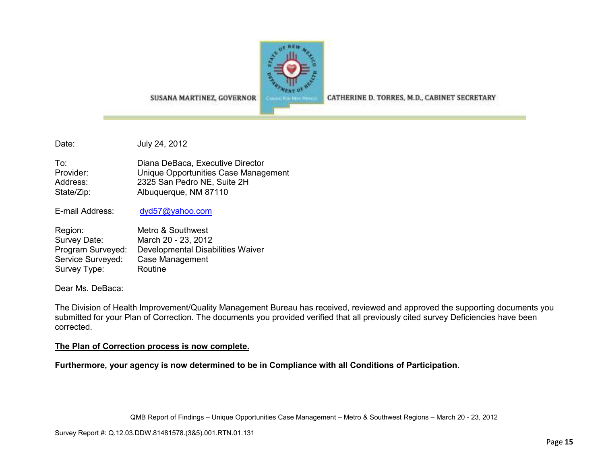

CATHERINE D. TORRES, M.D., CABINET SECRETARY

SUSANA MARTINEZ, GOVERNOR

Date: July 24, 2012

To: Diana DeBaca, Executive Director Provider: Unique Opportunities Case Management Address: 2325 San Pedro NE, Suite 2H State/Zip: Albuquerque, NM 87110

E-mail Address: dyd57@yahoo.com

| Region:           | Metro & Southwest                 |
|-------------------|-----------------------------------|
| Survey Date:      | March 20 - 23, 2012               |
| Program Surveyed: | Developmental Disabilities Waiver |
| Service Surveyed: | Case Management                   |
| Survey Type:      | Routine                           |

Dear Ms. DeBaca:

The Division of Health Improvement/Quality Management Bureau has received, reviewed and approved the supporting documents you submitted for your Plan of Correction. The documents you provided verified that all previously cited survey Deficiencies have been corrected.

### **The Plan of Correction process is now complete.**

**Furthermore, your agency is now determined to be in Compliance with all Conditions of Participation.**